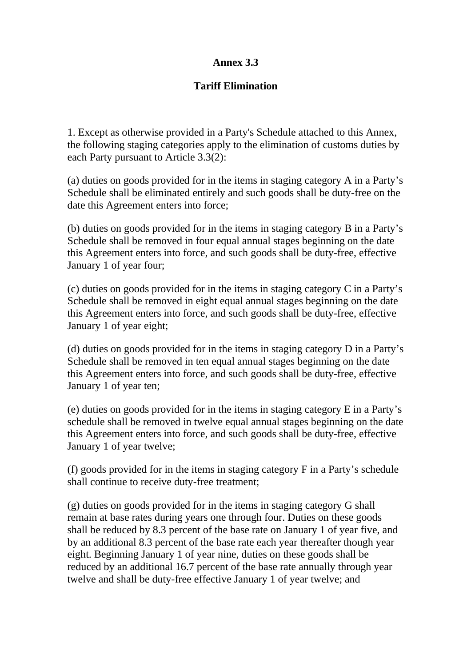## **Annex 3.3**

## **Tariff Elimination**

1. Except as otherwise provided in a Party's Schedule attached to this Annex, the following staging categories apply to the elimination of customs duties by each Party pursuant to Article 3.3(2):

(a) duties on goods provided for in the items in staging category A in a Party's Schedule shall be eliminated entirely and such goods shall be duty-free on the date this Agreement enters into force;

(b) duties on goods provided for in the items in staging category B in a Party's Schedule shall be removed in four equal annual stages beginning on the date this Agreement enters into force, and such goods shall be duty-free, effective January 1 of year four;

(c) duties on goods provided for in the items in staging category C in a Party's Schedule shall be removed in eight equal annual stages beginning on the date this Agreement enters into force, and such goods shall be duty-free, effective January 1 of year eight;

(d) duties on goods provided for in the items in staging category D in a Party's Schedule shall be removed in ten equal annual stages beginning on the date this Agreement enters into force, and such goods shall be duty-free, effective January 1 of year ten;

(e) duties on goods provided for in the items in staging category E in a Party's schedule shall be removed in twelve equal annual stages beginning on the date this Agreement enters into force, and such goods shall be duty-free, effective January 1 of year twelve;

(f) goods provided for in the items in staging category F in a Party's schedule shall continue to receive duty-free treatment;

(g) duties on goods provided for in the items in staging category G shall remain at base rates during years one through four. Duties on these goods shall be reduced by 8.3 percent of the base rate on January 1 of year five, and by an additional 8.3 percent of the base rate each year thereafter though year eight. Beginning January 1 of year nine, duties on these goods shall be reduced by an additional 16.7 percent of the base rate annually through year twelve and shall be duty-free effective January 1 of year twelve; and